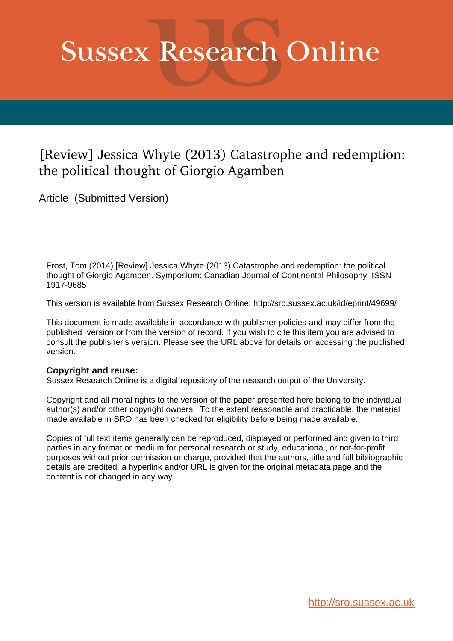# **Sussex Research Online**

## [Review] Jessica Whyte (2013) Catastrophe and redemption: the political thought of Giorgio Agamben

Article (Submitted Version)

Frost, Tom (2014) [Review] Jessica Whyte (2013) Catastrophe and redemption: the political thought of Giorgio Agamben. Symposium: Canadian Journal of Continental Philosophy. ISSN 1917-9685

This version is available from Sussex Research Online: http://sro.sussex.ac.uk/id/eprint/49699/

This document is made available in accordance with publisher policies and may differ from the published version or from the version of record. If you wish to cite this item you are advised to consult the publisher's version. Please see the URL above for details on accessing the published version.

### **Copyright and reuse:**

Sussex Research Online is a digital repository of the research output of the University.

Copyright and all moral rights to the version of the paper presented here belong to the individual author(s) and/or other copyright owners. To the extent reasonable and practicable, the material made available in SRO has been checked for eligibility before being made available.

Copies of full text items generally can be reproduced, displayed or performed and given to third parties in any format or medium for personal research or study, educational, or not-for-profit purposes without prior permission or charge, provided that the authors, title and full bibliographic details are credited, a hyperlink and/or URL is given for the original metadata page and the content is not changed in any way.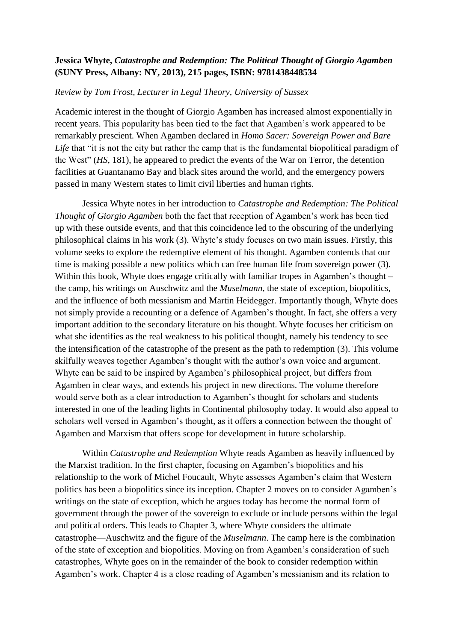### **Jessica Whyte,** *Catastrophe and Redemption: The Political Thought of Giorgio Agamben*  **(SUNY Press, Albany: NY, 2013), 215 pages, ISBN: 9781438448534**

#### *Review by Tom Frost, Lecturer in Legal Theory, University of Sussex*

Academic interest in the thought of Giorgio Agamben has increased almost exponentially in recent years. This popularity has been tied to the fact that Agamben's work appeared to be remarkably prescient. When Agamben declared in *Homo Sacer: Sovereign Power and Bare*  Life that "it is not the city but rather the camp that is the fundamental biopolitical paradigm of the West" (*HS*, 181), he appeared to predict the events of the War on Terror, the detention facilities at Guantanamo Bay and black sites around the world, and the emergency powers passed in many Western states to limit civil liberties and human rights.

Jessica Whyte notes in her introduction to *Catastrophe and Redemption: The Political Thought of Giorgio Agamben* both the fact that reception of Agamben's work has been tied up with these outside events, and that this coincidence led to the obscuring of the underlying philosophical claims in his work (3). Whyte's study focuses on two main issues. Firstly, this volume seeks to explore the redemptive element of his thought. Agamben contends that our time is making possible a new politics which can free human life from sovereign power (3). Within this book, Whyte does engage critically with familiar tropes in Agamben's thought – the camp, his writings on Auschwitz and the *Muselmann*, the state of exception, biopolitics, and the influence of both messianism and Martin Heidegger. Importantly though, Whyte does not simply provide a recounting or a defence of Agamben's thought. In fact, she offers a very important addition to the secondary literature on his thought. Whyte focuses her criticism on what she identifies as the real weakness to his political thought, namely his tendency to see the intensification of the catastrophe of the present as the path to redemption (3). This volume skilfully weaves together Agamben's thought with the author's own voice and argument. Whyte can be said to be inspired by Agamben's philosophical project, but differs from Agamben in clear ways, and extends his project in new directions. The volume therefore would serve both as a clear introduction to Agamben's thought for scholars and students interested in one of the leading lights in Continental philosophy today. It would also appeal to scholars well versed in Agamben's thought, as it offers a connection between the thought of Agamben and Marxism that offers scope for development in future scholarship.

Within *Catastrophe and Redemption* Whyte reads Agamben as heavily influenced by the Marxist tradition. In the first chapter, focusing on Agamben's biopolitics and his relationship to the work of Michel Foucault, Whyte assesses Agamben's claim that Western politics has been a biopolitics since its inception. Chapter 2 moves on to consider Agamben's writings on the state of exception, which he argues today has become the normal form of government through the power of the sovereign to exclude or include persons within the legal and political orders. This leads to Chapter 3, where Whyte considers the ultimate catastrophe—Auschwitz and the figure of the *Muselmann*. The camp here is the combination of the state of exception and biopolitics. Moving on from Agamben's consideration of such catastrophes, Whyte goes on in the remainder of the book to consider redemption within Agamben's work. Chapter 4 is a close reading of Agamben's messianism and its relation to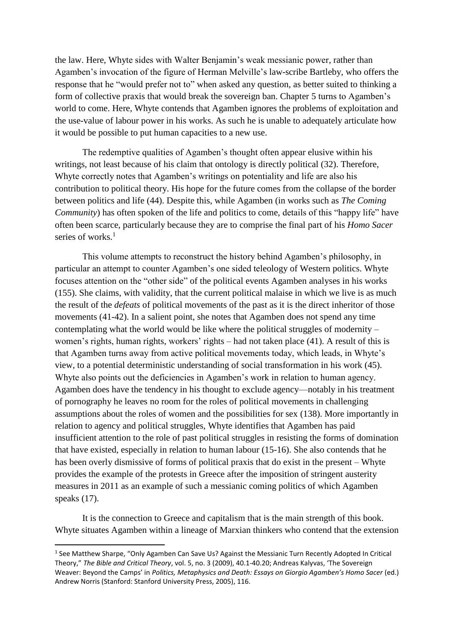the law. Here, Whyte sides with Walter Benjamin's weak messianic power, rather than Agamben's invocation of the figure of Herman Melville's law-scribe Bartleby, who offers the response that he "would prefer not to" when asked any question, as better suited to thinking a form of collective praxis that would break the sovereign ban. Chapter 5 turns to Agamben's world to come. Here, Whyte contends that Agamben ignores the problems of exploitation and the use-value of labour power in his works. As such he is unable to adequately articulate how it would be possible to put human capacities to a new use.

The redemptive qualities of Agamben's thought often appear elusive within his writings, not least because of his claim that ontology is directly political (32). Therefore, Whyte correctly notes that Agamben's writings on potentiality and life are also his contribution to political theory. His hope for the future comes from the collapse of the border between politics and life (44). Despite this, while Agamben (in works such as *The Coming Community*) has often spoken of the life and politics to come, details of this "happy life" have often been scarce, particularly because they are to comprise the final part of his *Homo Sacer* series of works. 1

This volume attempts to reconstruct the history behind Agamben's philosophy, in particular an attempt to counter Agamben's one sided teleology of Western politics. Whyte focuses attention on the "other side" of the political events Agamben analyses in his works (155). She claims, with validity, that the current political malaise in which we live is as much the result of the *defeats* of political movements of the past as it is the direct inheritor of those movements (41-42). In a salient point, she notes that Agamben does not spend any time contemplating what the world would be like where the political struggles of modernity – women's rights, human rights, workers' rights – had not taken place (41). A result of this is that Agamben turns away from active political movements today, which leads, in Whyte's view, to a potential deterministic understanding of social transformation in his work (45). Whyte also points out the deficiencies in Agamben's work in relation to human agency. Agamben does have the tendency in his thought to exclude agency—notably in his treatment of pornography he leaves no room for the roles of political movements in challenging assumptions about the roles of women and the possibilities for sex (138). More importantly in relation to agency and political struggles, Whyte identifies that Agamben has paid insufficient attention to the role of past political struggles in resisting the forms of domination that have existed, especially in relation to human labour (15-16). She also contends that he has been overly dismissive of forms of political praxis that do exist in the present – Whyte provides the example of the protests in Greece after the imposition of stringent austerity measures in 2011 as an example of such a messianic coming politics of which Agamben speaks  $(17)$ .

It is the connection to Greece and capitalism that is the main strength of this book. Whyte situates Agamben within a lineage of Marxian thinkers who contend that the extension

**.** 

<sup>&</sup>lt;sup>1</sup> See Matthew Sharpe, "Only Agamben Can Save Us? Against the Messianic Turn Recently Adopted In Critical Theory," *The Bible and Critical Theory*, vol. 5, no. 3 (2009), 40.1-40.20; Andreas Kalyvas, 'The Sovereign Weaver: Beyond the Camps' in *Politics, Metaphysics and Death: Essays on Giorgio Agamben's Homo Sacer* (ed.) Andrew Norris (Stanford: Stanford University Press, 2005), 116.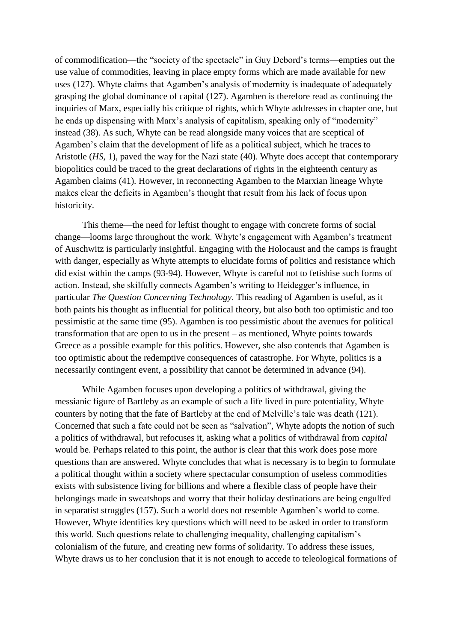of commodification—the "society of the spectacle" in Guy Debord's terms—empties out the use value of commodities, leaving in place empty forms which are made available for new uses (127). Whyte claims that Agamben's analysis of modernity is inadequate of adequately grasping the global dominance of capital (127). Agamben is therefore read as continuing the inquiries of Marx, especially his critique of rights, which Whyte addresses in chapter one, but he ends up dispensing with Marx's analysis of capitalism, speaking only of "modernity" instead (38). As such, Whyte can be read alongside many voices that are sceptical of Agamben's claim that the development of life as a political subject, which he traces to Aristotle (*HS*, 1), paved the way for the Nazi state (40). Whyte does accept that contemporary biopolitics could be traced to the great declarations of rights in the eighteenth century as Agamben claims (41). However, in reconnecting Agamben to the Marxian lineage Whyte makes clear the deficits in Agamben's thought that result from his lack of focus upon historicity.

This theme—the need for leftist thought to engage with concrete forms of social change—looms large throughout the work. Whyte's engagement with Agamben's treatment of Auschwitz is particularly insightful. Engaging with the Holocaust and the camps is fraught with danger, especially as Whyte attempts to elucidate forms of politics and resistance which did exist within the camps (93-94). However, Whyte is careful not to fetishise such forms of action. Instead, she skilfully connects Agamben's writing to Heidegger's influence, in particular *The Question Concerning Technology*. This reading of Agamben is useful, as it both paints his thought as influential for political theory, but also both too optimistic and too pessimistic at the same time (95). Agamben is too pessimistic about the avenues for political transformation that are open to us in the present – as mentioned, Whyte points towards Greece as a possible example for this politics. However, she also contends that Agamben is too optimistic about the redemptive consequences of catastrophe. For Whyte, politics is a necessarily contingent event, a possibility that cannot be determined in advance (94).

While Agamben focuses upon developing a politics of withdrawal, giving the messianic figure of Bartleby as an example of such a life lived in pure potentiality, Whyte counters by noting that the fate of Bartleby at the end of Melville's tale was death (121). Concerned that such a fate could not be seen as "salvation", Whyte adopts the notion of such a politics of withdrawal, but refocuses it, asking what a politics of withdrawal from *capital* would be. Perhaps related to this point, the author is clear that this work does pose more questions than are answered. Whyte concludes that what is necessary is to begin to formulate a political thought within a society where spectacular consumption of useless commodities exists with subsistence living for billions and where a flexible class of people have their belongings made in sweatshops and worry that their holiday destinations are being engulfed in separatist struggles (157). Such a world does not resemble Agamben's world to come. However, Whyte identifies key questions which will need to be asked in order to transform this world. Such questions relate to challenging inequality, challenging capitalism's colonialism of the future, and creating new forms of solidarity. To address these issues, Whyte draws us to her conclusion that it is not enough to accede to teleological formations of